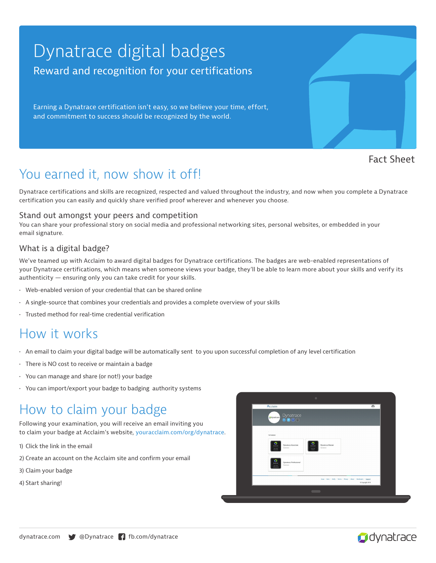## Dynatrace digital badges Reward and recognition for your certifications

Earning a Dynatrace certification isn't easy, so we believe your time, effort, and commitment to success should be recognized by the world.

Fact Sheet

## You earned it, now show it off!

Dynatrace certifications and skills are recognized, respected and valued throughout the industry, and now when you complete a Dynatrace certification you can easily and quickly share verified proof wherever and whenever you choose.

#### Stand out amongst your peers and competition

You can share your professional story on social media and professional networking sites, personal websites, or embedded in your email signature.

#### What is a digital badge?

We've teamed up with Acclaim to award digital badges for Dynatrace certifications. The badges are web-enabled representations of your Dynatrace certifications, which means when someone views your badge, they'll be able to learn more about your skills and verify its authenticity — ensuring only you can take credit for your skills.

- Web-enabled version of your credential that can be shared online
- A single-source that combines your credentials and provides a complete overview of your skills
- Trusted method for real-time credential verification

### How it works

- An email to claim your digital badge will be automatically sent to you upon successful completion of any level certification
- There is NO cost to receive or maintain a badge
- You can manage and share (or not!) your badge
- You can import/export your badge to badging authority systems

### How to claim your badge

Following your examination, you will receive an email inviting you to claim your badge at Acclaim's website, youracclaim.com/org/dynatrace.

- 1) Click the link in the email
- 2) Create an account on the Acclaim site and confirm your email
- 3) Claim your badge
- 4) Start sharing!